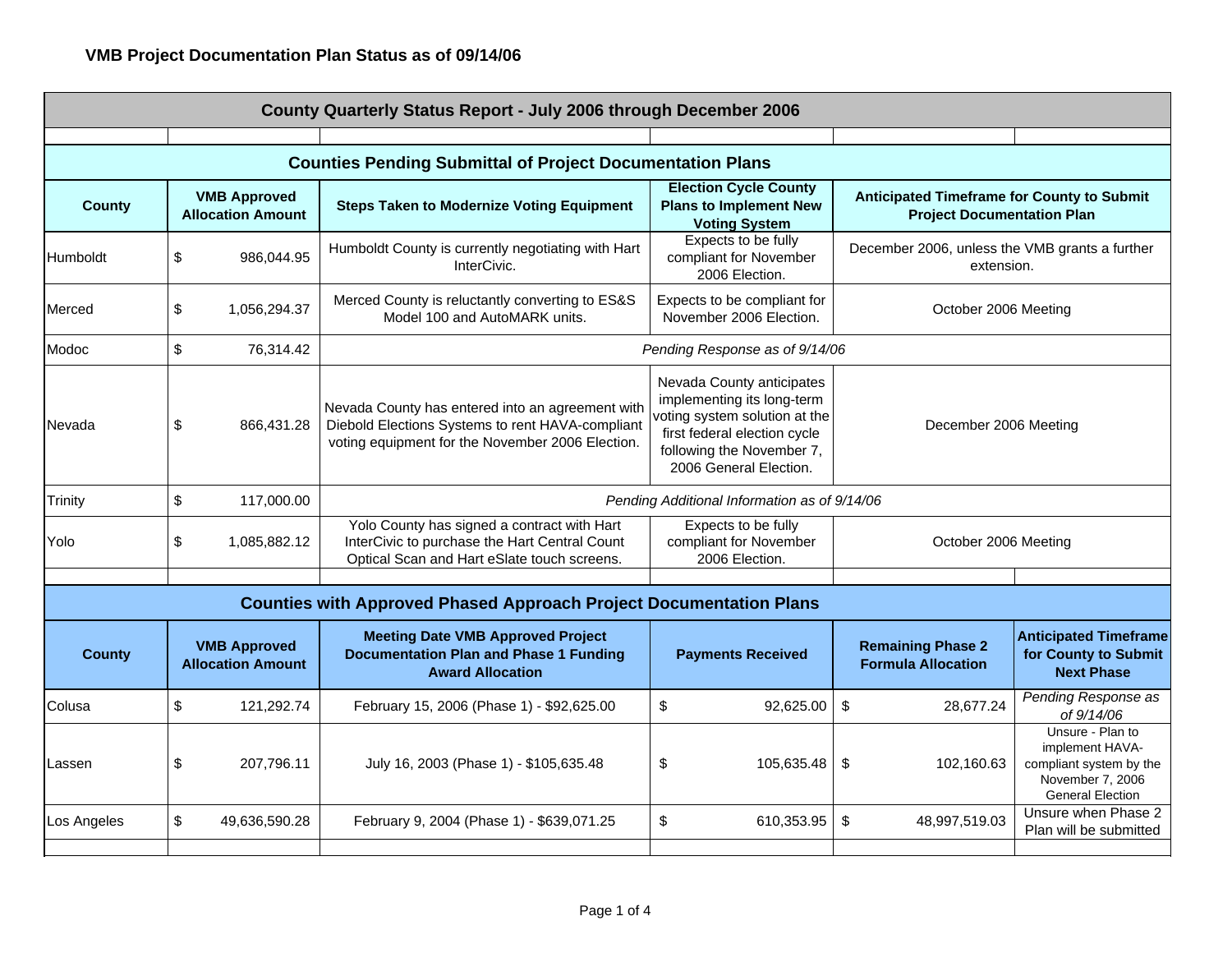| County Quarterly Status Report - July 2006 through December 2006 |                                                 |                                                                                                                                                          |                                                                                                                                                                                 |                                                                                        |                                                                                                               |  |  |  |
|------------------------------------------------------------------|-------------------------------------------------|----------------------------------------------------------------------------------------------------------------------------------------------------------|---------------------------------------------------------------------------------------------------------------------------------------------------------------------------------|----------------------------------------------------------------------------------------|---------------------------------------------------------------------------------------------------------------|--|--|--|
|                                                                  |                                                 |                                                                                                                                                          |                                                                                                                                                                                 |                                                                                        |                                                                                                               |  |  |  |
|                                                                  |                                                 | <b>Counties Pending Submittal of Project Documentation Plans</b>                                                                                         |                                                                                                                                                                                 |                                                                                        |                                                                                                               |  |  |  |
| <b>County</b>                                                    | <b>VMB Approved</b><br><b>Allocation Amount</b> | <b>Steps Taken to Modernize Voting Equipment</b>                                                                                                         | <b>Election Cycle County</b><br><b>Plans to Implement New</b><br><b>Voting System</b>                                                                                           | <b>Anticipated Timeframe for County to Submit</b><br><b>Project Documentation Plan</b> |                                                                                                               |  |  |  |
| Humboldt                                                         | \$<br>986,044.95                                | Humboldt County is currently negotiating with Hart<br>InterCivic.                                                                                        | Expects to be fully<br>compliant for November<br>2006 Election.                                                                                                                 | December 2006, unless the VMB grants a further<br>extension.                           |                                                                                                               |  |  |  |
| Merced                                                           | \$<br>1,056,294.37                              | Merced County is reluctantly converting to ES&S<br>Model 100 and AutoMARK units.                                                                         | Expects to be compliant for<br>November 2006 Election.                                                                                                                          | October 2006 Meeting                                                                   |                                                                                                               |  |  |  |
| Modoc                                                            | \$<br>76,314.42                                 | Pending Response as of 9/14/06                                                                                                                           |                                                                                                                                                                                 |                                                                                        |                                                                                                               |  |  |  |
| Nevada                                                           | \$<br>866,431.28                                | Nevada County has entered into an agreement with<br>Diebold Elections Systems to rent HAVA-compliant<br>voting equipment for the November 2006 Election. | Nevada County anticipates<br>implementing its long-term<br>voting system solution at the<br>first federal election cycle<br>following the November 7,<br>2006 General Election. | December 2006 Meeting                                                                  |                                                                                                               |  |  |  |
| <b>Trinity</b>                                                   | \$<br>117,000.00                                | Pending Additional Information as of 9/14/06                                                                                                             |                                                                                                                                                                                 |                                                                                        |                                                                                                               |  |  |  |
| Yolo                                                             | \$<br>1,085,882.12                              | Yolo County has signed a contract with Hart<br>InterCivic to purchase the Hart Central Count<br>Optical Scan and Hart eSlate touch screens.              | Expects to be fully<br>compliant for November<br>2006 Election.                                                                                                                 | October 2006 Meeting                                                                   |                                                                                                               |  |  |  |
|                                                                  |                                                 |                                                                                                                                                          |                                                                                                                                                                                 |                                                                                        |                                                                                                               |  |  |  |
|                                                                  |                                                 | <b>Counties with Approved Phased Approach Project Documentation Plans</b>                                                                                |                                                                                                                                                                                 |                                                                                        |                                                                                                               |  |  |  |
| <b>County</b>                                                    | <b>VMB Approved</b><br><b>Allocation Amount</b> | <b>Meeting Date VMB Approved Project</b><br><b>Documentation Plan and Phase 1 Funding</b><br><b>Award Allocation</b>                                     | <b>Payments Received</b>                                                                                                                                                        | <b>Remaining Phase 2</b><br><b>Formula Allocation</b>                                  | <b>Anticipated Timeframe</b><br>for County to Submit<br><b>Next Phase</b>                                     |  |  |  |
| Colusa                                                           | \$<br>121,292.74                                | February 15, 2006 (Phase 1) - \$92,625.00                                                                                                                | \$<br>92,625.00                                                                                                                                                                 | \$<br>28,677.24                                                                        | Pending Response as<br>of 9/14/06                                                                             |  |  |  |
| Lassen                                                           | \$<br>207,796.11                                | July 16, 2003 (Phase 1) - \$105,635.48                                                                                                                   | \$<br>105,635.48                                                                                                                                                                | \$<br>102,160.63                                                                       | Unsure - Plan to<br>implement HAVA-<br>compliant system by the<br>November 7, 2006<br><b>General Election</b> |  |  |  |
| Los Angeles                                                      | \$<br>49,636,590.28                             | February 9, 2004 (Phase 1) - \$639,071.25                                                                                                                | \$<br>610,353.95                                                                                                                                                                | \$<br>48,997,519.03                                                                    | Unsure when Phase 2<br>Plan will be submitted                                                                 |  |  |  |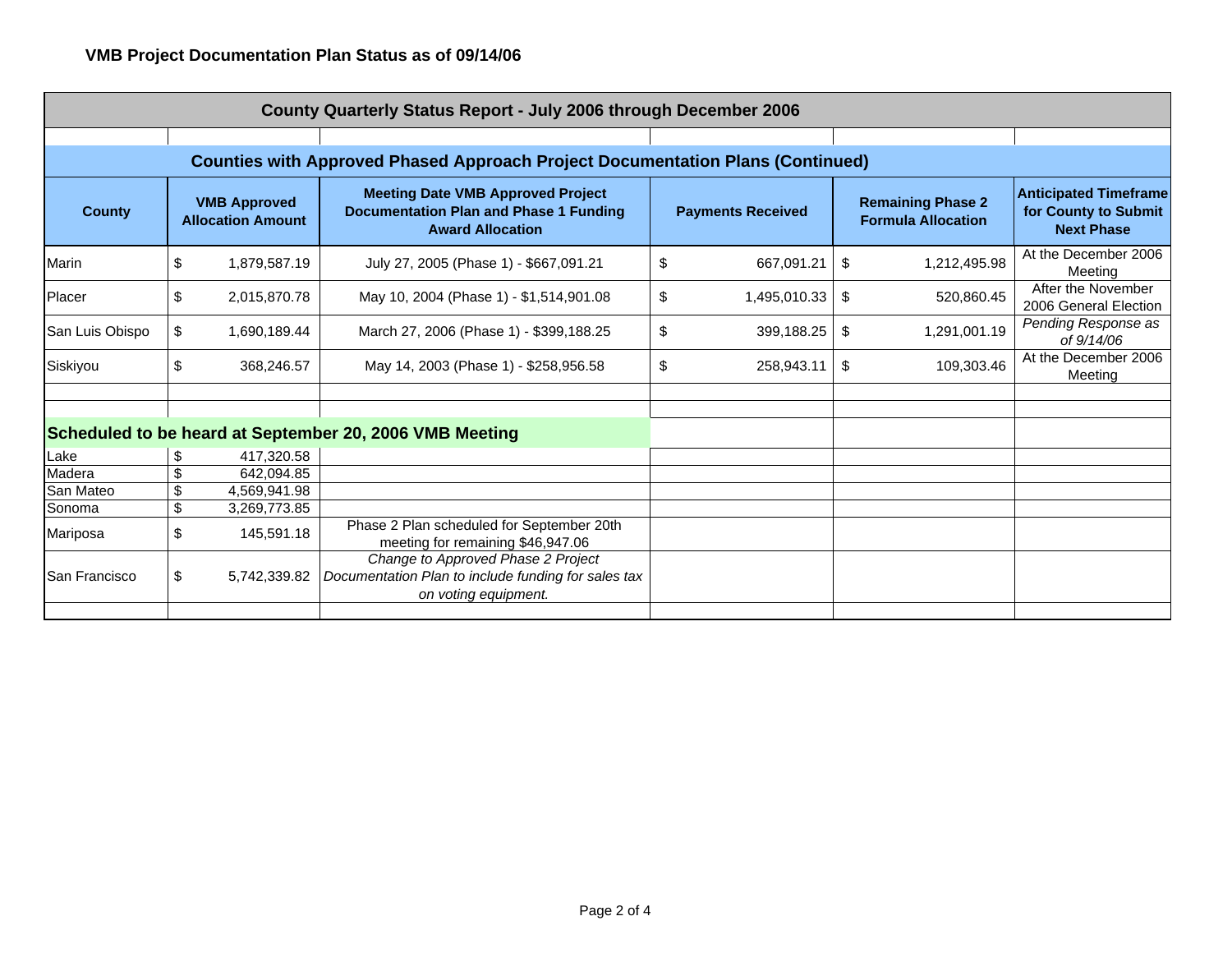| County Quarterly Status Report - July 2006 through December 2006                      |    |                                                 |                                                                                                                      |    |                          |                                                       |              |                                                                           |
|---------------------------------------------------------------------------------------|----|-------------------------------------------------|----------------------------------------------------------------------------------------------------------------------|----|--------------------------|-------------------------------------------------------|--------------|---------------------------------------------------------------------------|
|                                                                                       |    |                                                 |                                                                                                                      |    |                          |                                                       |              |                                                                           |
| <b>Counties with Approved Phased Approach Project Documentation Plans (Continued)</b> |    |                                                 |                                                                                                                      |    |                          |                                                       |              |                                                                           |
| <b>County</b>                                                                         |    | <b>VMB Approved</b><br><b>Allocation Amount</b> | <b>Meeting Date VMB Approved Project</b><br><b>Documentation Plan and Phase 1 Funding</b><br><b>Award Allocation</b> |    | <b>Payments Received</b> | <b>Remaining Phase 2</b><br><b>Formula Allocation</b> |              | <b>Anticipated Timeframe</b><br>for County to Submit<br><b>Next Phase</b> |
| Marin                                                                                 | \$ | 1,879,587.19                                    | July 27, 2005 (Phase 1) - \$667,091.21                                                                               | \$ | 667,091.21               | \$                                                    | 1,212,495.98 | At the December 2006<br>Meeting                                           |
| Placer                                                                                | \$ | 2,015,870.78                                    | May 10, 2004 (Phase 1) - \$1,514,901.08                                                                              | \$ | 1,495,010.33             | \$                                                    | 520,860.45   | After the November<br>2006 General Election                               |
| San Luis Obispo                                                                       | \$ | 1,690,189.44                                    | March 27, 2006 (Phase 1) - \$399,188.25                                                                              | \$ | 399,188.25               | \$                                                    | 1,291,001.19 | Pending Response as<br>of 9/14/06                                         |
| Siskiyou                                                                              | \$ | 368,246.57                                      | May 14, 2003 (Phase 1) - \$258,956.58                                                                                | \$ | 258,943.11               | \$                                                    | 109,303.46   | At the December 2006<br>Meeting                                           |
|                                                                                       |    |                                                 |                                                                                                                      |    |                          |                                                       |              |                                                                           |
| Scheduled to be heard at September 20, 2006 VMB Meeting                               |    |                                                 |                                                                                                                      |    |                          |                                                       |              |                                                                           |
| Lake                                                                                  | \$ | 417,320.58                                      |                                                                                                                      |    |                          |                                                       |              |                                                                           |
| Madera                                                                                | \$ | 642.094.85                                      |                                                                                                                      |    |                          |                                                       |              |                                                                           |
| San Mateo                                                                             | \$ | 4,569,941.98                                    |                                                                                                                      |    |                          |                                                       |              |                                                                           |
| Sonoma                                                                                | \$ | 3,269,773.85                                    |                                                                                                                      |    |                          |                                                       |              |                                                                           |
| Mariposa                                                                              | \$ | 145,591.18                                      | Phase 2 Plan scheduled for September 20th<br>meeting for remaining \$46,947.06                                       |    |                          |                                                       |              |                                                                           |
| San Francisco                                                                         | \$ | 5,742,339.82                                    | Change to Approved Phase 2 Project<br>Documentation Plan to include funding for sales tax<br>on voting equipment.    |    |                          |                                                       |              |                                                                           |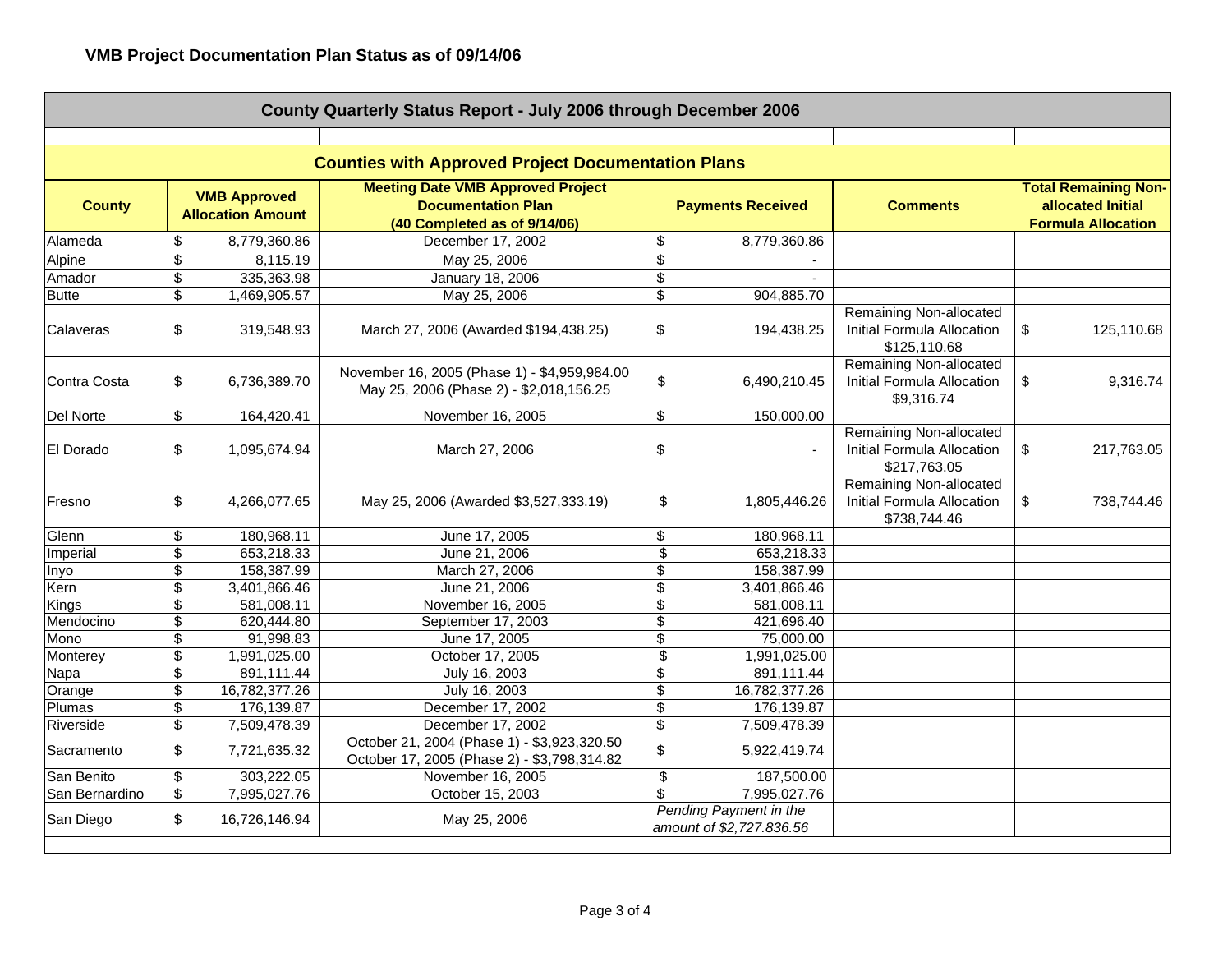| County Quarterly Status Report - July 2006 through December 2006 |                                                 |               |                                                                                                       |                          |                                                    |                                                                       |                                                                               |
|------------------------------------------------------------------|-------------------------------------------------|---------------|-------------------------------------------------------------------------------------------------------|--------------------------|----------------------------------------------------|-----------------------------------------------------------------------|-------------------------------------------------------------------------------|
|                                                                  |                                                 |               |                                                                                                       |                          |                                                    |                                                                       |                                                                               |
|                                                                  |                                                 |               | <b>Counties with Approved Project Documentation Plans</b>                                             |                          |                                                    |                                                                       |                                                                               |
| <b>County</b>                                                    | <b>VMB Approved</b><br><b>Allocation Amount</b> |               | <b>Meeting Date VMB Approved Project</b><br><b>Documentation Plan</b><br>(40 Completed as of 9/14/06) | <b>Payments Received</b> |                                                    | <b>Comments</b>                                                       | <b>Total Remaining Non-</b><br>allocated Initial<br><b>Formula Allocation</b> |
| Alameda                                                          | \$                                              | 8,779,360.86  | December 17, 2002                                                                                     | \$                       | 8,779,360.86                                       |                                                                       |                                                                               |
| Alpine                                                           | \$                                              | 8,115.19      | May 25, 2006                                                                                          | \$                       |                                                    |                                                                       |                                                                               |
| Amador                                                           | $\overline{\mathcal{G}}$                        | 335,363.98    | January 18, 2006                                                                                      | \$                       |                                                    |                                                                       |                                                                               |
| <b>Butte</b>                                                     | \$                                              | 1,469,905.57  | May 25, 2006                                                                                          | \$                       | 904,885.70                                         |                                                                       |                                                                               |
| Calaveras                                                        | \$                                              | 319,548.93    | March 27, 2006 (Awarded \$194,438.25)                                                                 | \$                       | 194,438.25                                         | Remaining Non-allocated<br>Initial Formula Allocation<br>\$125,110.68 | \$<br>125,110.68                                                              |
| Contra Costa                                                     | \$                                              | 6,736,389.70  | November 16, 2005 (Phase 1) - \$4,959,984.00<br>May 25, 2006 (Phase 2) - \$2,018,156.25               | \$                       | 6,490,210.45                                       | Remaining Non-allocated<br>Initial Formula Allocation<br>\$9,316.74   | \$<br>9,316.74                                                                |
| Del Norte                                                        | \$                                              | 164,420.41    | November 16, 2005                                                                                     | \$                       | 150,000.00                                         |                                                                       |                                                                               |
| <b>El Dorado</b>                                                 | \$                                              | 1,095,674.94  | March 27, 2006                                                                                        | \$                       |                                                    | Remaining Non-allocated<br>Initial Formula Allocation<br>\$217,763.05 | \$<br>217,763.05                                                              |
| Fresno                                                           | \$                                              | 4,266,077.65  | May 25, 2006 (Awarded \$3,527,333.19)                                                                 | \$                       | 1,805,446.26                                       | Remaining Non-allocated<br>Initial Formula Allocation<br>\$738,744.46 | \$<br>738,744.46                                                              |
| Glenn                                                            | \$                                              | 180,968.11    | June 17, 2005                                                                                         | \$                       | 180,968.11                                         |                                                                       |                                                                               |
| Imperial                                                         | \$                                              | 653,218.33    | June 21, 2006                                                                                         | \$                       | 653,218.33                                         |                                                                       |                                                                               |
| Inyo                                                             | \$                                              | 158,387.99    | March 27, 2006                                                                                        | \$                       | 158,387.99                                         |                                                                       |                                                                               |
| Kern                                                             | \$                                              | 3,401,866.46  | June 21, 2006                                                                                         | \$                       | 3,401,866.46                                       |                                                                       |                                                                               |
| Kings                                                            | \$                                              | 581,008.11    | November 16, 2005                                                                                     | \$                       | 581,008.11                                         |                                                                       |                                                                               |
| Mendocino                                                        | \$                                              | 620,444.80    | September 17, 2003                                                                                    | \$                       | 421,696.40                                         |                                                                       |                                                                               |
| Mono                                                             | \$                                              | 91,998.83     | June 17, 2005                                                                                         | \$                       | 75,000.00                                          |                                                                       |                                                                               |
| Monterey                                                         | \$                                              | 1,991,025.00  | October 17, 2005                                                                                      | \$                       | 1,991,025.00                                       |                                                                       |                                                                               |
| Napa                                                             | \$                                              | 891,111.44    | July 16, 2003                                                                                         | \$                       | 891,111.44                                         |                                                                       |                                                                               |
| Orange                                                           | \$                                              | 16,782,377.26 | July 16, 2003                                                                                         | \$                       | 16,782,377.26                                      |                                                                       |                                                                               |
| Plumas                                                           | \$                                              | 176,139.87    | December 17, 2002                                                                                     | \$                       | 176,139.87                                         |                                                                       |                                                                               |
| Riverside                                                        | \$                                              | 7,509,478.39  | December 17, 2002                                                                                     | \$                       | 7,509,478.39                                       |                                                                       |                                                                               |
| Sacramento                                                       | \$                                              | 7,721,635.32  | October 21, 2004 (Phase 1) - \$3,923,320.50<br>October 17, 2005 (Phase 2) - \$3,798,314.82            | \$                       | 5,922,419.74                                       |                                                                       |                                                                               |
| San Benito                                                       | \$                                              | 303,222.05    | November 16, 2005                                                                                     | \$                       | 187,500.00                                         |                                                                       |                                                                               |
| San Bernardino                                                   | \$                                              | 7,995,027.76  | October 15, 2003                                                                                      | \$                       | 7,995,027.76                                       |                                                                       |                                                                               |
| San Diego                                                        | \$                                              | 16.726.146.94 | May 25, 2006                                                                                          |                          | Pending Payment in the<br>amount of \$2,727.836.56 |                                                                       |                                                                               |